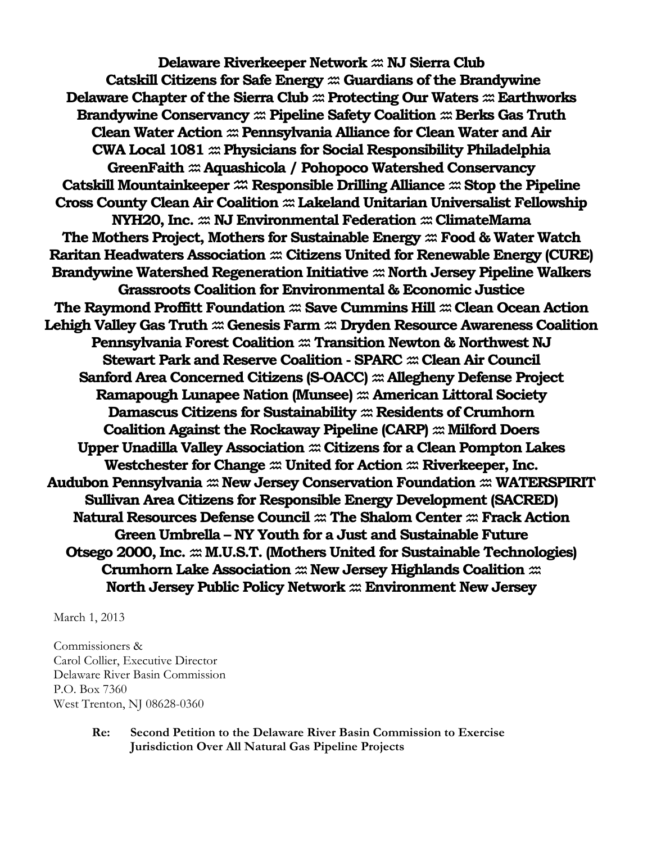**Delaware Riverkeeper Network NJ Sierra Club Catskill Citizens for Safe Energy Guardians of the Brandywine Delaware Chapter of the Sierra Club**  $\mathfrak{m}$  Protecting Our Waters  $\mathfrak{m}$  Earthworks **Brandywine Conservancy**  $\mathfrak{m}$  **Pipeline Safety Coalition**  $\mathfrak{m}$  **Berks Gas Truth Clean Water Action Pennsylvania Alliance for Clean Water and Air CWA Local 1081 Physicians for Social Responsibility Philadelphia GreenFaith Aquashicola / Pohopoco Watershed Conservancy Catskill Mountainkeeper**  $\mathfrak{m}$  **Responsible Drilling Alliance**  $\mathfrak{m}$  **Stop the Pipeline Cross County Clean Air Coalition Lakeland Unitarian Universalist Fellowship NYH20, Inc.**  $\mathfrak{m}$  **NJ Environmental Federation**  $\mathfrak{m}$  **ClimateMama The Mothers Project, Mothers for Sustainable Energy Food & Water Watch Raritan Headwaters Association Citizens United for Renewable Energy (CURE) Brandywine Watershed Regeneration Initiative**  $\mathfrak{m}$  **North Jersey Pipeline Walkers Grassroots Coalition for Environmental & Economic Justice The Raymond Proffitt Foundation**  $\mathfrak{m}$  Save Cummins Hill  $\mathfrak{m}$  Clean Ocean Action Lehigh Valley Gas Truth  $\mathfrak{m}$  Genesis Farm  $\mathfrak{m}$  Dryden Resource Awareness Coalition **Pennsylvania Forest Coalition Transition Newton & Northwest NJ Stewart Park and Reserve Coalition - SPARC**  $x$  **Clean Air Council Sanford Area Concerned Citizens (S-OACC)**  $\mathfrak{m}$  Allegheny Defense Project **Ramapough Lunapee Nation (Munsee)**  $\mathfrak{m}$  American Littoral Society **Damascus Citizens for Sustainability**  $\mathfrak{m}$  Residents of Crumhorn **Coalition Against the Rockaway Pipeline (CARP)**  $\mathfrak{m}$  Milford Doers **Upper Unadilla Valley Association Citizens for a Clean Pompton Lakes** Westchester for Change  $\mathfrak{m}$  United for Action  $\mathfrak{m}$  Riverkeeper, Inc. **Audubon Pennsylvania New Jersey Conservation Foundation WATERSPIRIT Sullivan Area Citizens for Responsible Energy Development (SACRED) Natural Resources Defense Council The Shalom Center Frack Action Green Umbrella – NY Youth for a Just and Sustainable Future Otsego 2000, Inc. M.U.S.T. (Mothers United for Sustainable Technologies) Crumhorn Lake Association**  $\mathfrak{m}$  New Jersey Highlands Coalition  $\mathfrak{m}$ **North Jersey Public Policy Network Environment New Jersey**

March 1, 2013

Commissioners & Carol Collier, Executive Director Delaware River Basin Commission P.O. Box 7360 West Trenton, NJ 08628-0360

#### **Re: Second Petition to the Delaware River Basin Commission to Exercise Jurisdiction Over All Natural Gas Pipeline Projects**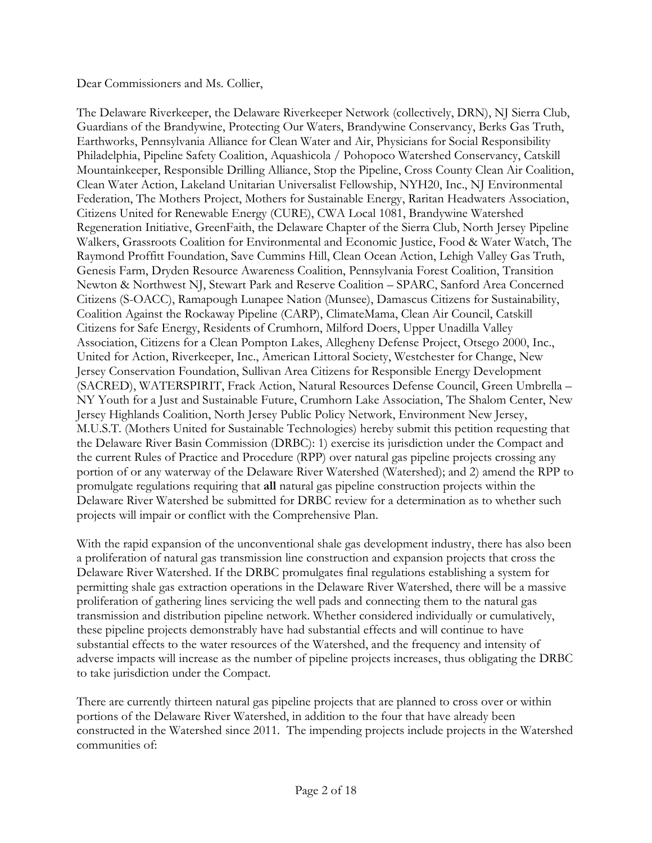#### Dear Commissioners and Ms. Collier,

The Delaware Riverkeeper, the Delaware Riverkeeper Network (collectively, DRN), NJ Sierra Club, Guardians of the Brandywine, Protecting Our Waters, Brandywine Conservancy, Berks Gas Truth, Earthworks, Pennsylvania Alliance for Clean Water and Air, Physicians for Social Responsibility Philadelphia, Pipeline Safety Coalition, Aquashicola / Pohopoco Watershed Conservancy, Catskill Mountainkeeper, Responsible Drilling Alliance, Stop the Pipeline, Cross County Clean Air Coalition, Clean Water Action, Lakeland Unitarian Universalist Fellowship, NYH20, Inc., NJ Environmental Federation, The Mothers Project, Mothers for Sustainable Energy, Raritan Headwaters Association, Citizens United for Renewable Energy (CURE), CWA Local 1081, Brandywine Watershed Regeneration Initiative, GreenFaith, the Delaware Chapter of the Sierra Club, North Jersey Pipeline Walkers, Grassroots Coalition for Environmental and Economic Justice, Food & Water Watch, The Raymond Proffitt Foundation, Save Cummins Hill, Clean Ocean Action, Lehigh Valley Gas Truth, Genesis Farm, Dryden Resource Awareness Coalition, Pennsylvania Forest Coalition, Transition Newton & Northwest NJ, Stewart Park and Reserve Coalition – SPARC, Sanford Area Concerned Citizens (S-OACC), Ramapough Lunapee Nation (Munsee), Damascus Citizens for Sustainability, Coalition Against the Rockaway Pipeline (CARP), ClimateMama, Clean Air Council, Catskill Citizens for Safe Energy, Residents of Crumhorn, Milford Doers, Upper Unadilla Valley Association, Citizens for a Clean Pompton Lakes, Allegheny Defense Project, Otsego 2000, Inc., United for Action, Riverkeeper, Inc., American Littoral Society, Westchester for Change, New Jersey Conservation Foundation, Sullivan Area Citizens for Responsible Energy Development (SACRED), WATERSPIRIT, Frack Action, Natural Resources Defense Council, Green Umbrella – NY Youth for a Just and Sustainable Future, Crumhorn Lake Association, The Shalom Center, New Jersey Highlands Coalition, North Jersey Public Policy Network, Environment New Jersey, M.U.S.T. (Mothers United for Sustainable Technologies) hereby submit this petition requesting that the Delaware River Basin Commission (DRBC): 1) exercise its jurisdiction under the Compact and the current Rules of Practice and Procedure (RPP) over natural gas pipeline projects crossing any portion of or any waterway of the Delaware River Watershed (Watershed); and 2) amend the RPP to promulgate regulations requiring that **all** natural gas pipeline construction projects within the Delaware River Watershed be submitted for DRBC review for a determination as to whether such projects will impair or conflict with the Comprehensive Plan.

With the rapid expansion of the unconventional shale gas development industry, there has also been a proliferation of natural gas transmission line construction and expansion projects that cross the Delaware River Watershed. If the DRBC promulgates final regulations establishing a system for permitting shale gas extraction operations in the Delaware River Watershed, there will be a massive proliferation of gathering lines servicing the well pads and connecting them to the natural gas transmission and distribution pipeline network. Whether considered individually or cumulatively, these pipeline projects demonstrably have had substantial effects and will continue to have substantial effects to the water resources of the Watershed, and the frequency and intensity of adverse impacts will increase as the number of pipeline projects increases, thus obligating the DRBC to take jurisdiction under the Compact.

There are currently thirteen natural gas pipeline projects that are planned to cross over or within portions of the Delaware River Watershed, in addition to the four that have already been constructed in the Watershed since 2011. The impending projects include projects in the Watershed communities of: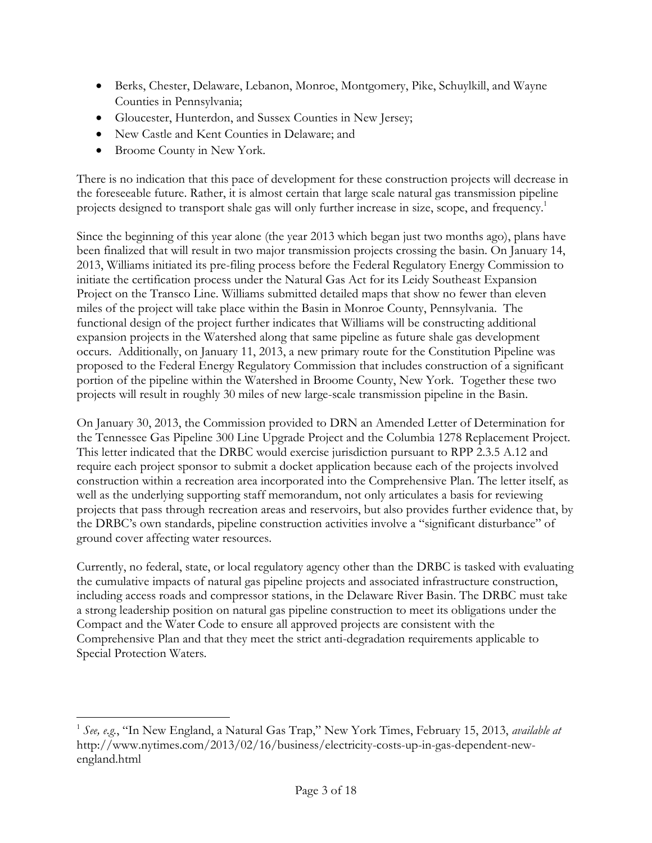- Berks, Chester, Delaware, Lebanon, Monroe, Montgomery, Pike, Schuylkill, and Wayne Counties in Pennsylvania;
- Gloucester, Hunterdon, and Sussex Counties in New Jersey;
- New Castle and Kent Counties in Delaware; and
- Broome County in New York.

 $\overline{a}$ 

There is no indication that this pace of development for these construction projects will decrease in the foreseeable future. Rather, it is almost certain that large scale natural gas transmission pipeline projects designed to transport shale gas will only further increase in size, scope, and frequency.<sup>1</sup>

Since the beginning of this year alone (the year 2013 which began just two months ago), plans have been finalized that will result in two major transmission projects crossing the basin. On January 14, 2013, Williams initiated its pre-filing process before the Federal Regulatory Energy Commission to initiate the certification process under the Natural Gas Act for its Leidy Southeast Expansion Project on the Transco Line. Williams submitted detailed maps that show no fewer than eleven miles of the project will take place within the Basin in Monroe County, Pennsylvania. The functional design of the project further indicates that Williams will be constructing additional expansion projects in the Watershed along that same pipeline as future shale gas development occurs. Additionally, on January 11, 2013, a new primary route for the Constitution Pipeline was proposed to the Federal Energy Regulatory Commission that includes construction of a significant portion of the pipeline within the Watershed in Broome County, New York. Together these two projects will result in roughly 30 miles of new large-scale transmission pipeline in the Basin.

On January 30, 2013, the Commission provided to DRN an Amended Letter of Determination for the Tennessee Gas Pipeline 300 Line Upgrade Project and the Columbia 1278 Replacement Project. This letter indicated that the DRBC would exercise jurisdiction pursuant to RPP 2.3.5 A.12 and require each project sponsor to submit a docket application because each of the projects involved construction within a recreation area incorporated into the Comprehensive Plan. The letter itself, as well as the underlying supporting staff memorandum, not only articulates a basis for reviewing projects that pass through recreation areas and reservoirs, but also provides further evidence that, by the DRBC's own standards, pipeline construction activities involve a "significant disturbance" of ground cover affecting water resources.

Currently, no federal, state, or local regulatory agency other than the DRBC is tasked with evaluating the cumulative impacts of natural gas pipeline projects and associated infrastructure construction, including access roads and compressor stations, in the Delaware River Basin. The DRBC must take a strong leadership position on natural gas pipeline construction to meet its obligations under the Compact and the Water Code to ensure all approved projects are consistent with the Comprehensive Plan and that they meet the strict anti-degradation requirements applicable to Special Protection Waters.

<sup>1</sup> *See, e.g.*, "In New England, a Natural Gas Trap," New York Times, February 15, 2013, *available at* http://www.nytimes.com/2013/02/16/business/electricity-costs-up-in-gas-dependent-newengland.html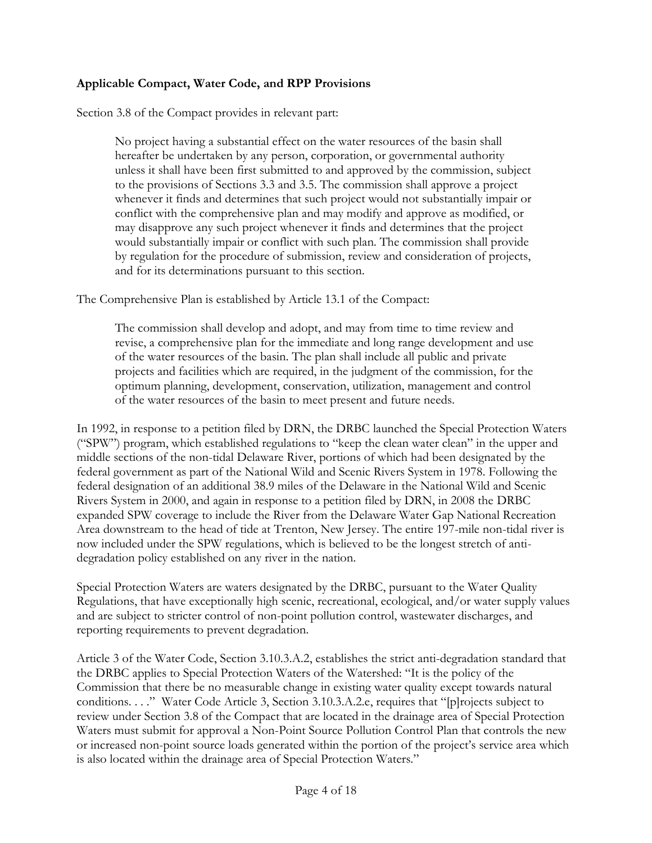### **Applicable Compact, Water Code, and RPP Provisions**

Section 3.8 of the Compact provides in relevant part:

No project having a substantial effect on the water resources of the basin shall hereafter be undertaken by any person, corporation, or governmental authority unless it shall have been first submitted to and approved by the commission, subject to the provisions of Sections 3.3 and 3.5. The commission shall approve a project whenever it finds and determines that such project would not substantially impair or conflict with the comprehensive plan and may modify and approve as modified, or may disapprove any such project whenever it finds and determines that the project would substantially impair or conflict with such plan. The commission shall provide by regulation for the procedure of submission, review and consideration of projects, and for its determinations pursuant to this section.

The Comprehensive Plan is established by Article 13.1 of the Compact:

The commission shall develop and adopt, and may from time to time review and revise, a comprehensive plan for the immediate and long range development and use of the water resources of the basin. The plan shall include all public and private projects and facilities which are required, in the judgment of the commission, for the optimum planning, development, conservation, utilization, management and control of the water resources of the basin to meet present and future needs.

In 1992, in response to a petition filed by DRN, the DRBC launched the Special Protection Waters ("SPW") program, which established regulations to "keep the clean water clean" in the upper and middle sections of the non-tidal Delaware River, portions of which had been designated by the federal government as part of the National Wild and Scenic Rivers System in 1978. Following the federal designation of an additional 38.9 miles of the Delaware in the National Wild and Scenic Rivers System in 2000, and again in response to a petition filed by DRN, in 2008 the DRBC expanded SPW coverage to include the River from the Delaware Water Gap National Recreation Area downstream to the head of tide at Trenton, New Jersey. The entire 197-mile non-tidal river is now included under the SPW regulations, which is believed to be the longest stretch of antidegradation policy established on any river in the nation.

Special Protection Waters are waters designated by the DRBC, pursuant to the Water Quality Regulations, that have exceptionally high scenic, recreational, ecological, and/or water supply values and are subject to stricter control of non-point pollution control, wastewater discharges, and reporting requirements to prevent degradation.

Article 3 of the Water Code, Section 3.10.3.A.2, establishes the strict anti-degradation standard that the DRBC applies to Special Protection Waters of the Watershed: "It is the policy of the Commission that there be no measurable change in existing water quality except towards natural conditions. . . ." Water Code Article 3, Section 3.10.3.A.2.e, requires that "[p]rojects subject to review under Section 3.8 of the Compact that are located in the drainage area of Special Protection Waters must submit for approval a Non-Point Source Pollution Control Plan that controls the new or increased non-point source loads generated within the portion of the project's service area which is also located within the drainage area of Special Protection Waters."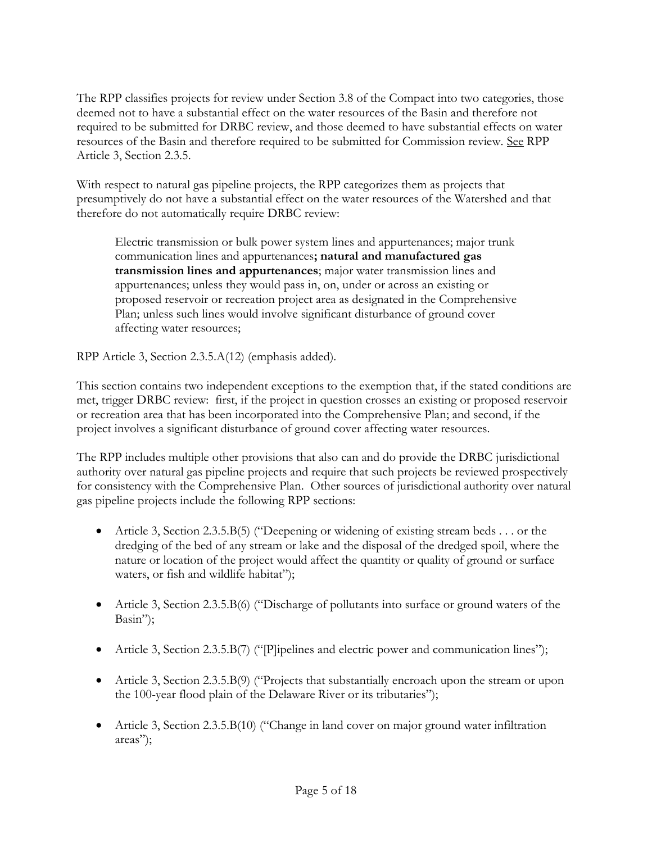The RPP classifies projects for review under Section 3.8 of the Compact into two categories, those deemed not to have a substantial effect on the water resources of the Basin and therefore not required to be submitted for DRBC review, and those deemed to have substantial effects on water resources of the Basin and therefore required to be submitted for Commission review. See RPP Article 3, Section 2.3.5.

With respect to natural gas pipeline projects, the RPP categorizes them as projects that presumptively do not have a substantial effect on the water resources of the Watershed and that therefore do not automatically require DRBC review:

Electric transmission or bulk power system lines and appurtenances; major trunk communication lines and appurtenances**; natural and manufactured gas transmission lines and appurtenances**; major water transmission lines and appurtenances; unless they would pass in, on, under or across an existing or proposed reservoir or recreation project area as designated in the Comprehensive Plan; unless such lines would involve significant disturbance of ground cover affecting water resources;

RPP Article 3, Section 2.3.5.A(12) (emphasis added).

This section contains two independent exceptions to the exemption that, if the stated conditions are met, trigger DRBC review: first, if the project in question crosses an existing or proposed reservoir or recreation area that has been incorporated into the Comprehensive Plan; and second, if the project involves a significant disturbance of ground cover affecting water resources.

The RPP includes multiple other provisions that also can and do provide the DRBC jurisdictional authority over natural gas pipeline projects and require that such projects be reviewed prospectively for consistency with the Comprehensive Plan. Other sources of jurisdictional authority over natural gas pipeline projects include the following RPP sections:

- Article 3, Section 2.3.5.B(5) ("Deepening or widening of existing stream beds . . . or the dredging of the bed of any stream or lake and the disposal of the dredged spoil, where the nature or location of the project would affect the quantity or quality of ground or surface waters, or fish and wildlife habitat");
- Article 3, Section 2.3.5.B(6) ("Discharge of pollutants into surface or ground waters of the Basin");
- Article 3, Section 2.3.5.B(7) ("[P]ipelines and electric power and communication lines");
- Article 3, Section 2.3.5.B(9) ("Projects that substantially encroach upon the stream or upon the 100-year flood plain of the Delaware River or its tributaries");
- Article 3, Section 2.3.5.B(10) ("Change in land cover on major ground water infiltration areas");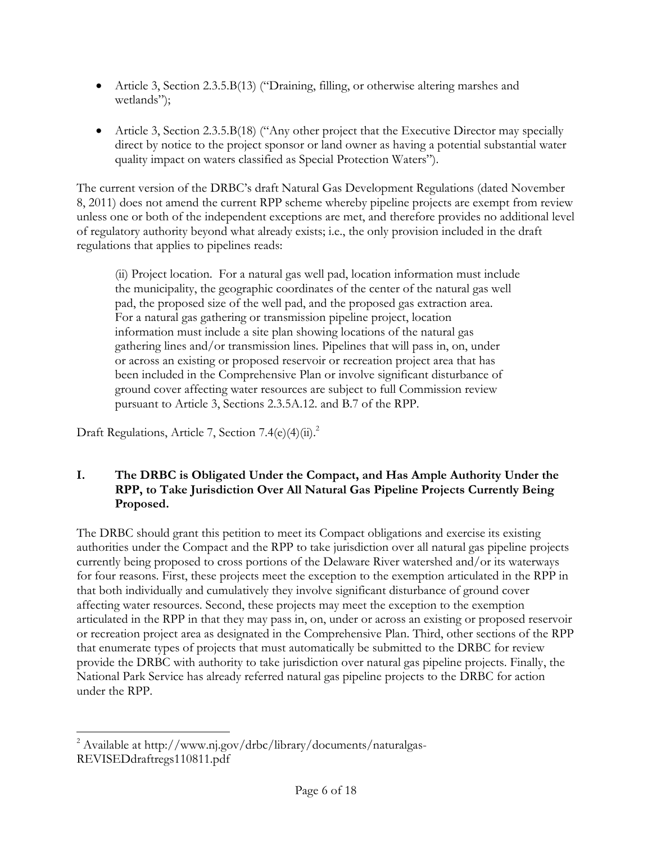- Article 3, Section 2.3.5.B(13) ("Draining, filling, or otherwise altering marshes and wetlands");
- Article 3, Section 2.3.5.B(18) ("Any other project that the Executive Director may specially direct by notice to the project sponsor or land owner as having a potential substantial water quality impact on waters classified as Special Protection Waters").

The current version of the DRBC's draft Natural Gas Development Regulations (dated November 8, 2011) does not amend the current RPP scheme whereby pipeline projects are exempt from review unless one or both of the independent exceptions are met, and therefore provides no additional level of regulatory authority beyond what already exists; i.e., the only provision included in the draft regulations that applies to pipelines reads:

(ii) Project location. For a natural gas well pad, location information must include the municipality, the geographic coordinates of the center of the natural gas well pad, the proposed size of the well pad, and the proposed gas extraction area. For a natural gas gathering or transmission pipeline project, location information must include a site plan showing locations of the natural gas gathering lines and/or transmission lines. Pipelines that will pass in, on, under or across an existing or proposed reservoir or recreation project area that has been included in the Comprehensive Plan or involve significant disturbance of ground cover affecting water resources are subject to full Commission review pursuant to Article 3, Sections 2.3.5A.12. and B.7 of the RPP.

Draft Regulations, Article 7, Section 7.4(e)(4)(ii).<sup>2</sup>

## **I. The DRBC is Obligated Under the Compact, and Has Ample Authority Under the RPP, to Take Jurisdiction Over All Natural Gas Pipeline Projects Currently Being Proposed.**

The DRBC should grant this petition to meet its Compact obligations and exercise its existing authorities under the Compact and the RPP to take jurisdiction over all natural gas pipeline projects currently being proposed to cross portions of the Delaware River watershed and/or its waterways for four reasons. First, these projects meet the exception to the exemption articulated in the RPP in that both individually and cumulatively they involve significant disturbance of ground cover affecting water resources. Second, these projects may meet the exception to the exemption articulated in the RPP in that they may pass in, on, under or across an existing or proposed reservoir or recreation project area as designated in the Comprehensive Plan. Third, other sections of the RPP that enumerate types of projects that must automatically be submitted to the DRBC for review provide the DRBC with authority to take jurisdiction over natural gas pipeline projects. Finally, the National Park Service has already referred natural gas pipeline projects to the DRBC for action under the RPP.

 $\overline{a}$ <sup>2</sup> Available at http://www.nj.gov/drbc/library/documents/naturalgas-REVISEDdraftregs110811.pdf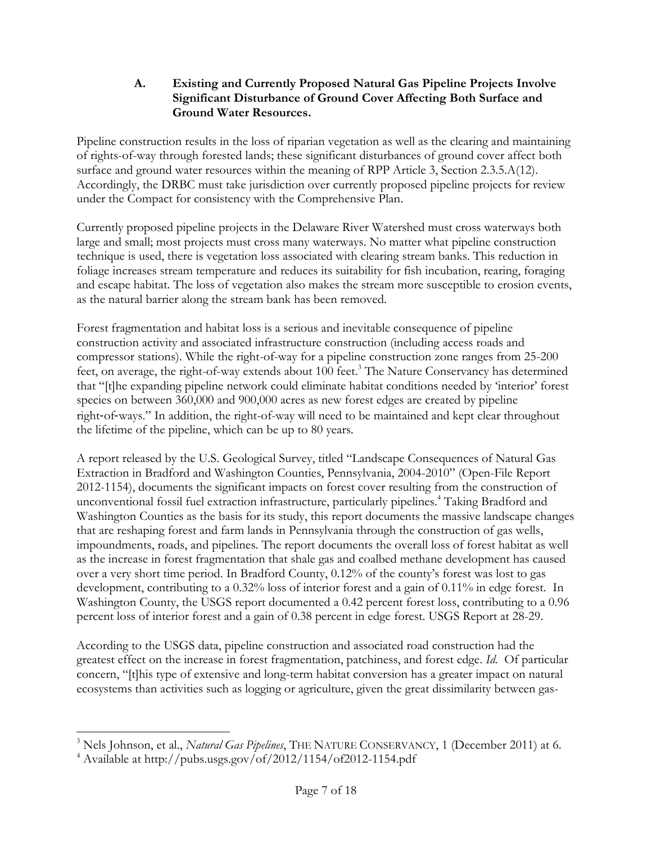#### **A. Existing and Currently Proposed Natural Gas Pipeline Projects Involve Significant Disturbance of Ground Cover Affecting Both Surface and Ground Water Resources.**

Pipeline construction results in the loss of riparian vegetation as well as the clearing and maintaining of rights-of-way through forested lands; these significant disturbances of ground cover affect both surface and ground water resources within the meaning of RPP Article 3, Section 2.3.5.A(12). Accordingly, the DRBC must take jurisdiction over currently proposed pipeline projects for review under the Compact for consistency with the Comprehensive Plan.

Currently proposed pipeline projects in the Delaware River Watershed must cross waterways both large and small; most projects must cross many waterways. No matter what pipeline construction technique is used, there is vegetation loss associated with clearing stream banks. This reduction in foliage increases stream temperature and reduces its suitability for fish incubation, rearing, foraging and escape habitat. The loss of vegetation also makes the stream more susceptible to erosion events, as the natural barrier along the stream bank has been removed.

Forest fragmentation and habitat loss is a serious and inevitable consequence of pipeline construction activity and associated infrastructure construction (including access roads and compressor stations). While the right-of-way for a pipeline construction zone ranges from 25-200 feet, on average, the right-of-way extends about 100 feet.<sup>3</sup> The Nature Conservancy has determined that "[t]he expanding pipeline network could eliminate habitat conditions needed by 'interior' forest species on between 360,000 and 900,000 acres as new forest edges are created by pipeline right‐of‐ways." In addition, the right-of-way will need to be maintained and kept clear throughout the lifetime of the pipeline, which can be up to 80 years.

A report released by the U.S. Geological Survey, titled "Landscape Consequences of Natural Gas Extraction in Bradford and Washington Counties, Pennsylvania, 2004-2010" (Open-File Report 2012-1154), documents the significant impacts on forest cover resulting from the construction of unconventional fossil fuel extraction infrastructure, particularly pipelines. <sup>4</sup> Taking Bradford and Washington Counties as the basis for its study, this report documents the massive landscape changes that are reshaping forest and farm lands in Pennsylvania through the construction of gas wells, impoundments, roads, and pipelines. The report documents the overall loss of forest habitat as well as the increase in forest fragmentation that shale gas and coalbed methane development has caused over a very short time period. In Bradford County, 0.12% of the county's forest was lost to gas development, contributing to a 0.32% loss of interior forest and a gain of 0.11% in edge forest. In Washington County, the USGS report documented a 0.42 percent forest loss, contributing to a 0.96 percent loss of interior forest and a gain of 0.38 percent in edge forest. USGS Report at 28-29.

According to the USGS data, pipeline construction and associated road construction had the greatest effect on the increase in forest fragmentation, patchiness, and forest edge. *Id.* Of particular concern, "[t]his type of extensive and long-term habitat conversion has a greater impact on natural ecosystems than activities such as logging or agriculture, given the great dissimilarity between gas-

 $\overline{a}$ 

<sup>3</sup> Nels Johnson, et al., *Natural Gas Pipelines*, THE NATURE CONSERVANCY, 1 (December 2011) at 6.

<sup>4</sup> Available at http://pubs.usgs.gov/of/2012/1154/of2012-1154.pdf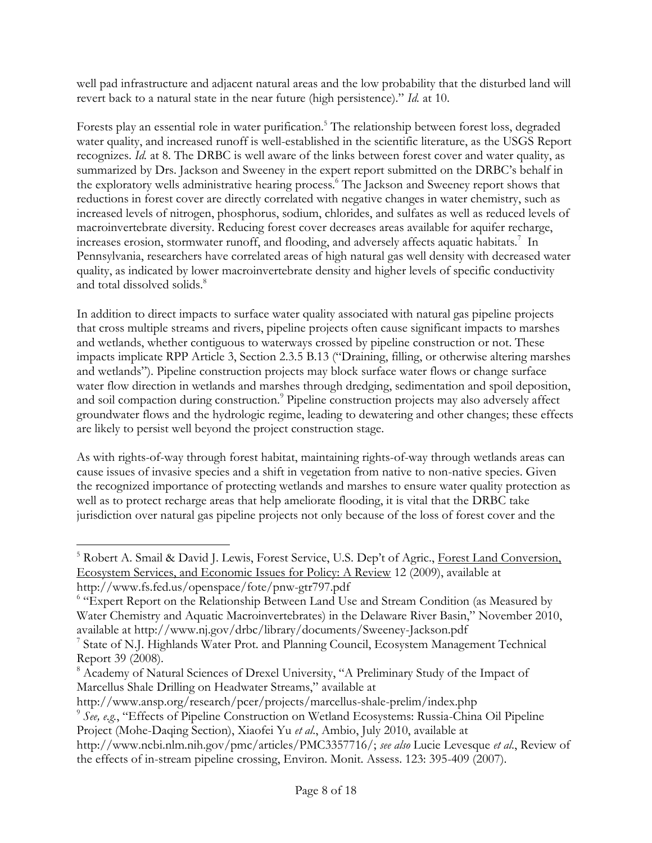well pad infrastructure and adjacent natural areas and the low probability that the disturbed land will revert back to a natural state in the near future (high persistence)." *Id.* at 10.

Forests play an essential role in water purification.<sup>5</sup> The relationship between forest loss, degraded water quality, and increased runoff is well-established in the scientific literature, as the USGS Report recognizes. *Id.* at 8. The DRBC is well aware of the links between forest cover and water quality, as summarized by Drs. Jackson and Sweeney in the expert report submitted on the DRBC's behalf in the exploratory wells administrative hearing process.<sup>6</sup> The Jackson and Sweeney report shows that reductions in forest cover are directly correlated with negative changes in water chemistry, such as increased levels of nitrogen, phosphorus, sodium, chlorides, and sulfates as well as reduced levels of macroinvertebrate diversity. Reducing forest cover decreases areas available for aquifer recharge, increases erosion, stormwater runoff, and flooding, and adversely affects aquatic habitats.<sup>7</sup> In Pennsylvania, researchers have correlated areas of high natural gas well density with decreased water quality, as indicated by lower macroinvertebrate density and higher levels of specific conductivity and total dissolved solids.<sup>8</sup>

In addition to direct impacts to surface water quality associated with natural gas pipeline projects that cross multiple streams and rivers, pipeline projects often cause significant impacts to marshes and wetlands, whether contiguous to waterways crossed by pipeline construction or not. These impacts implicate RPP Article 3, Section 2.3.5 B.13 ("Draining, filling, or otherwise altering marshes and wetlands"). Pipeline construction projects may block surface water flows or change surface water flow direction in wetlands and marshes through dredging, sedimentation and spoil deposition, and soil compaction during construction.<sup>9</sup> Pipeline construction projects may also adversely affect groundwater flows and the hydrologic regime, leading to dewatering and other changes; these effects are likely to persist well beyond the project construction stage.

As with rights-of-way through forest habitat, maintaining rights-of-way through wetlands areas can cause issues of invasive species and a shift in vegetation from native to non-native species. Given the recognized importance of protecting wetlands and marshes to ensure water quality protection as well as to protect recharge areas that help ameliorate flooding, it is vital that the DRBC take jurisdiction over natural gas pipeline projects not only because of the loss of forest cover and the

http://www.ansp.org/research/pcer/projects/marcellus-shale-prelim/index.php

 $\overline{a}$ 

9 *See, e.g.*, "Effects of Pipeline Construction on Wetland Ecosystems: Russia-China Oil Pipeline

<sup>&</sup>lt;sup>5</sup> Robert A. Smail & David J. Lewis, Forest Service, U.S. Dep't of Agric., Forest Land Conversion, Ecosystem Services, and Economic Issues for Policy: A Review 12 (2009), available at http://www.fs.fed.us/openspace/fote/pnw-gtr797.pdf

<sup>&</sup>lt;sup>6</sup> "Expert Report on the Relationship Between Land Use and Stream Condition (as Measured by Water Chemistry and Aquatic Macroinvertebrates) in the Delaware River Basin," November 2010, available at http://www.nj.gov/drbc/library/documents/Sweeney-Jackson.pdf

<sup>&</sup>lt;sup>7</sup> State of N.J. Highlands Water Prot. and Planning Council, Ecosystem Management Technical Report 39 (2008).

<sup>8</sup> Academy of Natural Sciences of Drexel University, "A Preliminary Study of the Impact of Marcellus Shale Drilling on Headwater Streams," available at

Project (Mohe-Daqing Section), Xiaofei Yu *et al*., Ambio, July 2010, available at

http://www.ncbi.nlm.nih.gov/pmc/articles/PMC3357716/; *see also* Lucie Levesque *et al*., Review of the effects of in-stream pipeline crossing, Environ. Monit. Assess. 123: 395-409 (2007).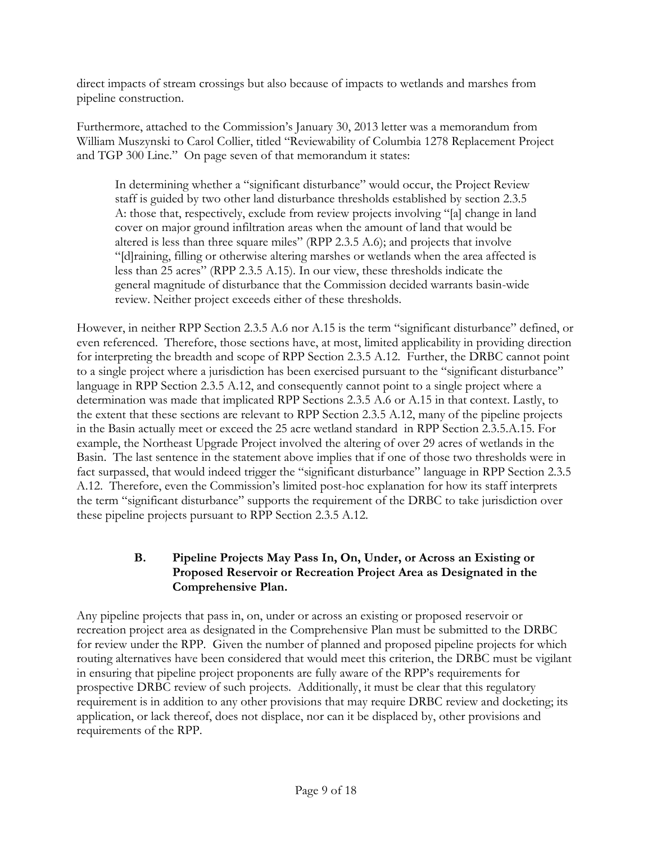direct impacts of stream crossings but also because of impacts to wetlands and marshes from pipeline construction.

Furthermore, attached to the Commission's January 30, 2013 letter was a memorandum from William Muszynski to Carol Collier, titled "Reviewability of Columbia 1278 Replacement Project and TGP 300 Line." On page seven of that memorandum it states:

In determining whether a "significant disturbance" would occur, the Project Review staff is guided by two other land disturbance thresholds established by section 2.3.5 A: those that, respectively, exclude from review projects involving "[a] change in land cover on major ground infiltration areas when the amount of land that would be altered is less than three square miles" (RPP 2.3.5 A.6); and projects that involve "[d]raining, filling or otherwise altering marshes or wetlands when the area affected is less than 25 acres" (RPP 2.3.5 A.15). In our view, these thresholds indicate the general magnitude of disturbance that the Commission decided warrants basin-wide review. Neither project exceeds either of these thresholds.

However, in neither RPP Section 2.3.5 A.6 nor A.15 is the term "significant disturbance" defined, or even referenced. Therefore, those sections have, at most, limited applicability in providing direction for interpreting the breadth and scope of RPP Section 2.3.5 A.12. Further, the DRBC cannot point to a single project where a jurisdiction has been exercised pursuant to the "significant disturbance" language in RPP Section 2.3.5 A.12, and consequently cannot point to a single project where a determination was made that implicated RPP Sections 2.3.5 A.6 or A.15 in that context. Lastly, to the extent that these sections are relevant to RPP Section 2.3.5 A.12, many of the pipeline projects in the Basin actually meet or exceed the 25 acre wetland standard in RPP Section 2.3.5.A.15. For example, the Northeast Upgrade Project involved the altering of over 29 acres of wetlands in the Basin. The last sentence in the statement above implies that if one of those two thresholds were in fact surpassed, that would indeed trigger the "significant disturbance" language in RPP Section 2.3.5 A.12. Therefore, even the Commission's limited post-hoc explanation for how its staff interprets the term "significant disturbance" supports the requirement of the DRBC to take jurisdiction over these pipeline projects pursuant to RPP Section 2.3.5 A.12.

### **B. Pipeline Projects May Pass In, On, Under, or Across an Existing or Proposed Reservoir or Recreation Project Area as Designated in the Comprehensive Plan.**

Any pipeline projects that pass in, on, under or across an existing or proposed reservoir or recreation project area as designated in the Comprehensive Plan must be submitted to the DRBC for review under the RPP. Given the number of planned and proposed pipeline projects for which routing alternatives have been considered that would meet this criterion, the DRBC must be vigilant in ensuring that pipeline project proponents are fully aware of the RPP's requirements for prospective DRBC review of such projects. Additionally, it must be clear that this regulatory requirement is in addition to any other provisions that may require DRBC review and docketing; its application, or lack thereof, does not displace, nor can it be displaced by, other provisions and requirements of the RPP.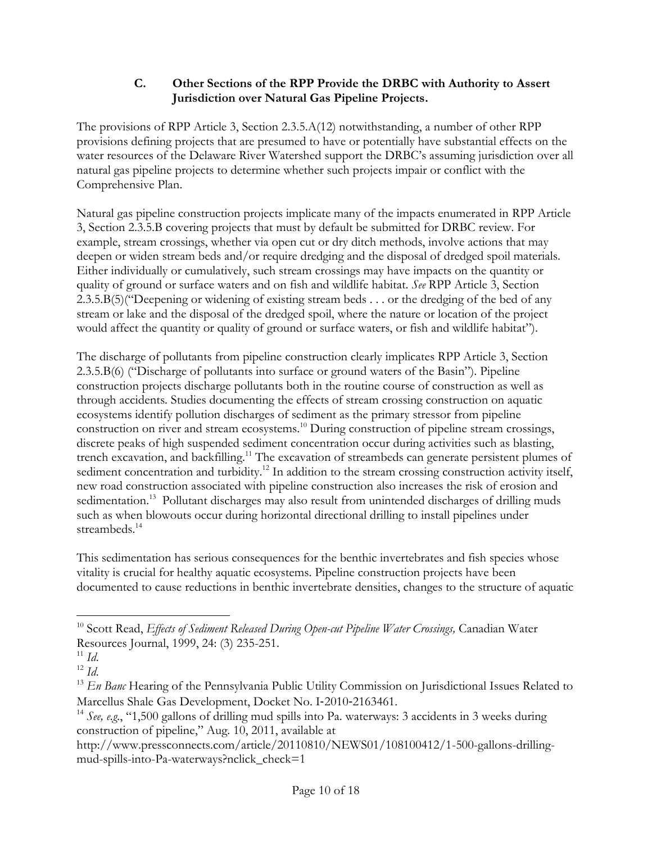## **C. Other Sections of the RPP Provide the DRBC with Authority to Assert Jurisdiction over Natural Gas Pipeline Projects.**

The provisions of RPP Article 3, Section 2.3.5.A(12) notwithstanding, a number of other RPP provisions defining projects that are presumed to have or potentially have substantial effects on the water resources of the Delaware River Watershed support the DRBC's assuming jurisdiction over all natural gas pipeline projects to determine whether such projects impair or conflict with the Comprehensive Plan.

Natural gas pipeline construction projects implicate many of the impacts enumerated in RPP Article 3, Section 2.3.5.B covering projects that must by default be submitted for DRBC review. For example, stream crossings, whether via open cut or dry ditch methods, involve actions that may deepen or widen stream beds and/or require dredging and the disposal of dredged spoil materials. Either individually or cumulatively, such stream crossings may have impacts on the quantity or quality of ground or surface waters and on fish and wildlife habitat. *See* RPP Article 3, Section 2.3.5.B(5)("Deepening or widening of existing stream beds . . . or the dredging of the bed of any stream or lake and the disposal of the dredged spoil, where the nature or location of the project would affect the quantity or quality of ground or surface waters, or fish and wildlife habitat").

The discharge of pollutants from pipeline construction clearly implicates RPP Article 3, Section 2.3.5.B(6) ("Discharge of pollutants into surface or ground waters of the Basin"). Pipeline construction projects discharge pollutants both in the routine course of construction as well as through accidents. Studies documenting the effects of stream crossing construction on aquatic ecosystems identify pollution discharges of sediment as the primary stressor from pipeline construction on river and stream ecosystems.<sup>10</sup> During construction of pipeline stream crossings, discrete peaks of high suspended sediment concentration occur during activities such as blasting, trench excavation, and backfilling.<sup>11</sup> The excavation of streambeds can generate persistent plumes of sediment concentration and turbidity.<sup>12</sup> In addition to the stream crossing construction activity itself, new road construction associated with pipeline construction also increases the risk of erosion and sedimentation.<sup>13</sup> Pollutant discharges may also result from unintended discharges of drilling muds such as when blowouts occur during horizontal directional drilling to install pipelines under streambeds.<sup>14</sup>

This sedimentation has serious consequences for the benthic invertebrates and fish species whose vitality is crucial for healthy aquatic ecosystems. Pipeline construction projects have been documented to cause reductions in benthic invertebrate densities, changes to the structure of aquatic

 $\overline{a}$ 

<sup>13</sup> *En Banc* Hearing of the Pennsylvania Public Utility Commission on Jurisdictional Issues Related to Marcellus Shale Gas Development, Docket No. I‐2010‐2163461.

http://www.pressconnects.com/article/20110810/NEWS01/108100412/1-500-gallons-drillingmud-spills-into-Pa-waterways?nclick\_check=1

<sup>&</sup>lt;sup>10</sup> Scott Read, *Effects of Sediment Released During Open-cut Pipeline Water Crossings, Canadian Water* Resources Journal, 1999, 24: (3) 235-251.

 $11 \; Id.$ 

 $12 \text{ Id.}$ 

<sup>&</sup>lt;sup>14</sup> See, e.g., "1,500 gallons of drilling mud spills into Pa. waterways: 3 accidents in 3 weeks during construction of pipeline," Aug. 10, 2011, available at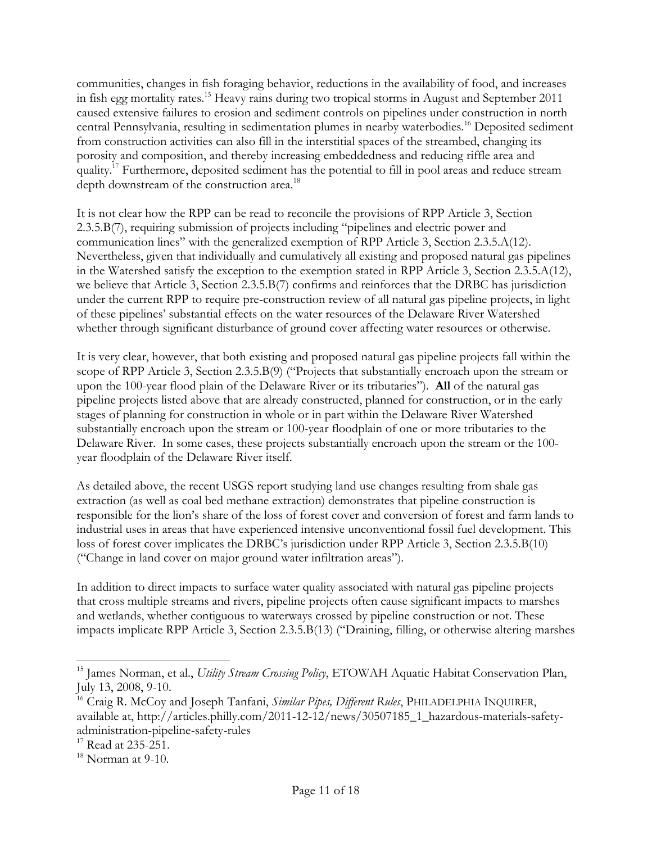communities, changes in fish foraging behavior, reductions in the availability of food, and increases in fish egg mortality rates.<sup>15</sup> Heavy rains during two tropical storms in August and September 2011 caused extensive failures to erosion and sediment controls on pipelines under construction in north central Pennsylvania, resulting in sedimentation plumes in nearby waterbodies.<sup>16</sup> Deposited sediment from construction activities can also fill in the interstitial spaces of the streambed, changing its porosity and composition, and thereby increasing embeddedness and reducing riffle area and quality.<sup>17</sup> Furthermore, deposited sediment has the potential to fill in pool areas and reduce stream depth downstream of the construction area.<sup>18</sup>

It is not clear how the RPP can be read to reconcile the provisions of RPP Article 3, Section 2.3.5.B(7), requiring submission of projects including "pipelines and electric power and communication lines" with the generalized exemption of RPP Article 3, Section 2.3.5.A(12). Nevertheless, given that individually and cumulatively all existing and proposed natural gas pipelines in the Watershed satisfy the exception to the exemption stated in RPP Article 3, Section 2.3.5.A(12), we believe that Article 3, Section 2.3.5.B(7) confirms and reinforces that the DRBC has jurisdiction under the current RPP to require pre-construction review of all natural gas pipeline projects, in light of these pipelines' substantial effects on the water resources of the Delaware River Watershed whether through significant disturbance of ground cover affecting water resources or otherwise.

It is very clear, however, that both existing and proposed natural gas pipeline projects fall within the scope of RPP Article 3, Section 2.3.5.B(9) ("Projects that substantially encroach upon the stream or upon the 100-year flood plain of the Delaware River or its tributaries"). **All** of the natural gas pipeline projects listed above that are already constructed, planned for construction, or in the early stages of planning for construction in whole or in part within the Delaware River Watershed substantially encroach upon the stream or 100-year floodplain of one or more tributaries to the Delaware River. In some cases, these projects substantially encroach upon the stream or the 100 year floodplain of the Delaware River itself.

As detailed above, the recent USGS report studying land use changes resulting from shale gas extraction (as well as coal bed methane extraction) demonstrates that pipeline construction is responsible for the lion's share of the loss of forest cover and conversion of forest and farm lands to industrial uses in areas that have experienced intensive unconventional fossil fuel development. This loss of forest cover implicates the DRBC's jurisdiction under RPP Article 3, Section 2.3.5.B(10) ("Change in land cover on major ground water infiltration areas").

In addition to direct impacts to surface water quality associated with natural gas pipeline projects that cross multiple streams and rivers, pipeline projects often cause significant impacts to marshes and wetlands, whether contiguous to waterways crossed by pipeline construction or not. These impacts implicate RPP Article 3, Section 2.3.5.B(13) ("Draining, filling, or otherwise altering marshes

 $\overline{a}$ 

<sup>&</sup>lt;sup>15</sup> James Norman, et al., *Utility Stream Crossing Policy*, ETOWAH Aquatic Habitat Conservation Plan, July 13, 2008, 9-10.

<sup>&</sup>lt;sup>16</sup> Craig R. McCoy and Joseph Tanfani, *Similar Pipes, Different Rules*, PHILADELPHIA INQUIRER, available at, http://articles.philly.com/2011-12-12/news/30507185\_1\_hazardous-materials-safetyadministration-pipeline-safety-rules

 $17$  Read at 235-251.

 $18$  Norman at 9-10.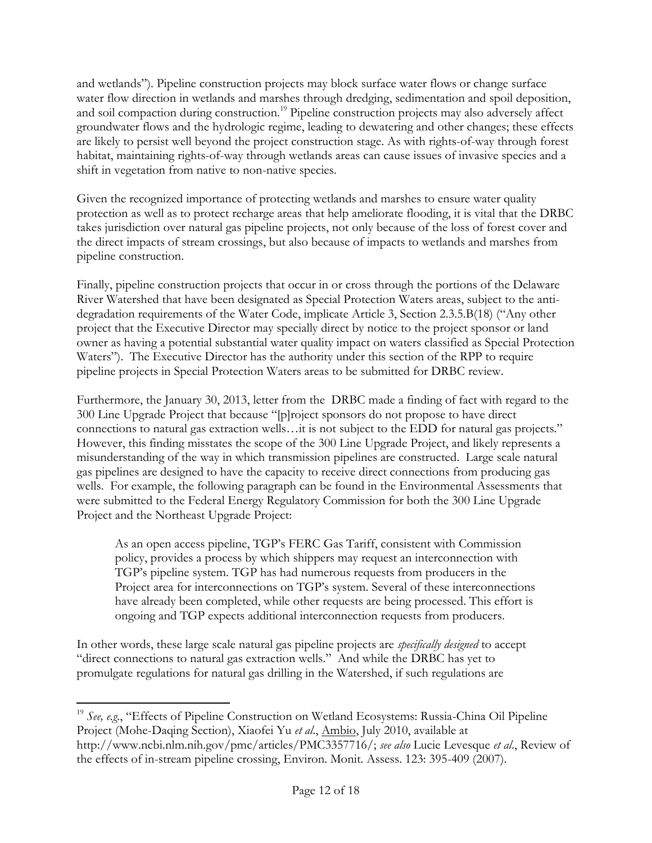and wetlands"). Pipeline construction projects may block surface water flows or change surface water flow direction in wetlands and marshes through dredging, sedimentation and spoil deposition, and soil compaction during construction.<sup>19</sup> Pipeline construction projects may also adversely affect groundwater flows and the hydrologic regime, leading to dewatering and other changes; these effects are likely to persist well beyond the project construction stage. As with rights-of-way through forest habitat, maintaining rights-of-way through wetlands areas can cause issues of invasive species and a shift in vegetation from native to non-native species.

Given the recognized importance of protecting wetlands and marshes to ensure water quality protection as well as to protect recharge areas that help ameliorate flooding, it is vital that the DRBC takes jurisdiction over natural gas pipeline projects, not only because of the loss of forest cover and the direct impacts of stream crossings, but also because of impacts to wetlands and marshes from pipeline construction.

Finally, pipeline construction projects that occur in or cross through the portions of the Delaware River Watershed that have been designated as Special Protection Waters areas, subject to the antidegradation requirements of the Water Code, implicate Article 3, Section 2.3.5.B(18) ("Any other project that the Executive Director may specially direct by notice to the project sponsor or land owner as having a potential substantial water quality impact on waters classified as Special Protection Waters"). The Executive Director has the authority under this section of the RPP to require pipeline projects in Special Protection Waters areas to be submitted for DRBC review.

Furthermore, the January 30, 2013, letter from the DRBC made a finding of fact with regard to the 300 Line Upgrade Project that because "[p]roject sponsors do not propose to have direct connections to natural gas extraction wells…it is not subject to the EDD for natural gas projects." However, this finding misstates the scope of the 300 Line Upgrade Project, and likely represents a misunderstanding of the way in which transmission pipelines are constructed. Large scale natural gas pipelines are designed to have the capacity to receive direct connections from producing gas wells. For example, the following paragraph can be found in the Environmental Assessments that were submitted to the Federal Energy Regulatory Commission for both the 300 Line Upgrade Project and the Northeast Upgrade Project:

As an open access pipeline, TGP's FERC Gas Tariff, consistent with Commission policy, provides a process by which shippers may request an interconnection with TGP's pipeline system. TGP has had numerous requests from producers in the Project area for interconnections on TGP's system. Several of these interconnections have already been completed, while other requests are being processed. This effort is ongoing and TGP expects additional interconnection requests from producers.

In other words, these large scale natural gas pipeline projects are *specifically designed* to accept "direct connections to natural gas extraction wells." And while the DRBC has yet to promulgate regulations for natural gas drilling in the Watershed, if such regulations are

 $\overline{a}$ 

<sup>&</sup>lt;sup>19</sup> See, e.g., "Effects of Pipeline Construction on Wetland Ecosystems: Russia-China Oil Pipeline Project (Mohe-Daqing Section), Xiaofei Yu *et al*., Ambio, July 2010, available at http://www.ncbi.nlm.nih.gov/pmc/articles/PMC3357716/; *see also* Lucie Levesque *et al*., Review of the effects of in-stream pipeline crossing, Environ. Monit. Assess. 123: 395-409 (2007).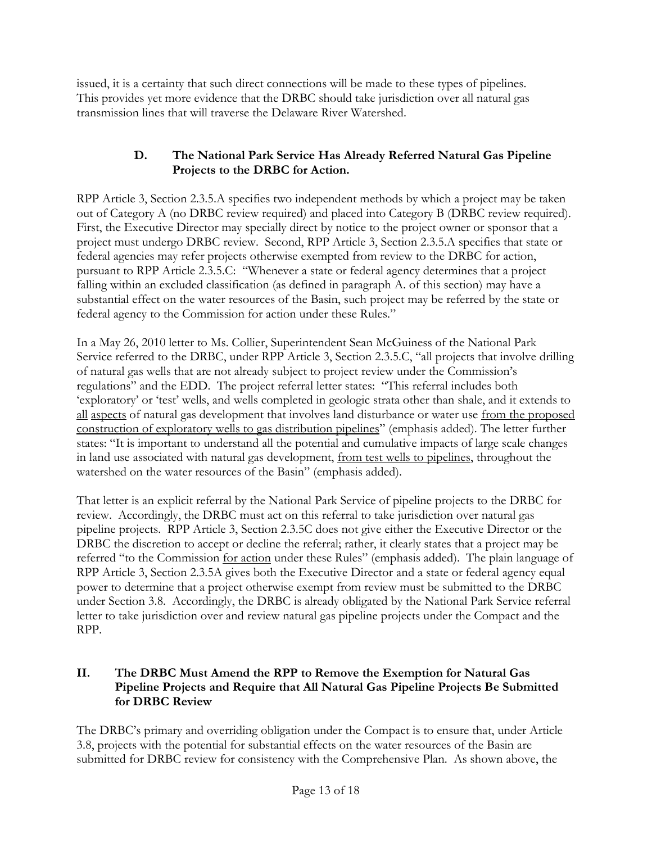issued, it is a certainty that such direct connections will be made to these types of pipelines. This provides yet more evidence that the DRBC should take jurisdiction over all natural gas transmission lines that will traverse the Delaware River Watershed.

## **D. The National Park Service Has Already Referred Natural Gas Pipeline Projects to the DRBC for Action.**

RPP Article 3, Section 2.3.5.A specifies two independent methods by which a project may be taken out of Category A (no DRBC review required) and placed into Category B (DRBC review required). First, the Executive Director may specially direct by notice to the project owner or sponsor that a project must undergo DRBC review. Second, RPP Article 3, Section 2.3.5.A specifies that state or federal agencies may refer projects otherwise exempted from review to the DRBC for action, pursuant to RPP Article 2.3.5.C: "Whenever a state or federal agency determines that a project falling within an excluded classification (as defined in paragraph A. of this section) may have a substantial effect on the water resources of the Basin, such project may be referred by the state or federal agency to the Commission for action under these Rules."

In a May 26, 2010 letter to Ms. Collier, Superintendent Sean McGuiness of the National Park Service referred to the DRBC, under RPP Article 3, Section 2.3.5.C, "all projects that involve drilling of natural gas wells that are not already subject to project review under the Commission's regulations" and the EDD. The project referral letter states: "This referral includes both 'exploratory' or 'test' wells, and wells completed in geologic strata other than shale, and it extends to all aspects of natural gas development that involves land disturbance or water use from the proposed construction of exploratory wells to gas distribution pipelines" (emphasis added). The letter further states: "It is important to understand all the potential and cumulative impacts of large scale changes in land use associated with natural gas development, from test wells to pipelines, throughout the watershed on the water resources of the Basin" (emphasis added).

That letter is an explicit referral by the National Park Service of pipeline projects to the DRBC for review. Accordingly, the DRBC must act on this referral to take jurisdiction over natural gas pipeline projects. RPP Article 3, Section 2.3.5C does not give either the Executive Director or the DRBC the discretion to accept or decline the referral; rather, it clearly states that a project may be referred "to the Commission for action under these Rules" (emphasis added). The plain language of RPP Article 3, Section 2.3.5A gives both the Executive Director and a state or federal agency equal power to determine that a project otherwise exempt from review must be submitted to the DRBC under Section 3.8. Accordingly, the DRBC is already obligated by the National Park Service referral letter to take jurisdiction over and review natural gas pipeline projects under the Compact and the RPP.

## **II. The DRBC Must Amend the RPP to Remove the Exemption for Natural Gas Pipeline Projects and Require that All Natural Gas Pipeline Projects Be Submitted for DRBC Review**

The DRBC's primary and overriding obligation under the Compact is to ensure that, under Article 3.8, projects with the potential for substantial effects on the water resources of the Basin are submitted for DRBC review for consistency with the Comprehensive Plan. As shown above, the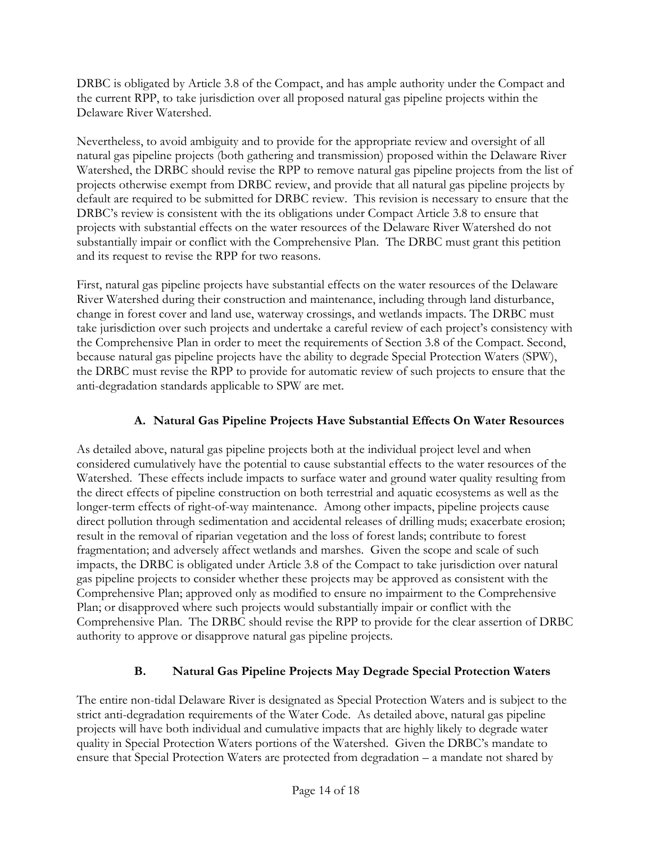DRBC is obligated by Article 3.8 of the Compact, and has ample authority under the Compact and the current RPP, to take jurisdiction over all proposed natural gas pipeline projects within the Delaware River Watershed.

Nevertheless, to avoid ambiguity and to provide for the appropriate review and oversight of all natural gas pipeline projects (both gathering and transmission) proposed within the Delaware River Watershed, the DRBC should revise the RPP to remove natural gas pipeline projects from the list of projects otherwise exempt from DRBC review, and provide that all natural gas pipeline projects by default are required to be submitted for DRBC review. This revision is necessary to ensure that the DRBC's review is consistent with the its obligations under Compact Article 3.8 to ensure that projects with substantial effects on the water resources of the Delaware River Watershed do not substantially impair or conflict with the Comprehensive Plan. The DRBC must grant this petition and its request to revise the RPP for two reasons.

First, natural gas pipeline projects have substantial effects on the water resources of the Delaware River Watershed during their construction and maintenance, including through land disturbance, change in forest cover and land use, waterway crossings, and wetlands impacts. The DRBC must take jurisdiction over such projects and undertake a careful review of each project's consistency with the Comprehensive Plan in order to meet the requirements of Section 3.8 of the Compact. Second, because natural gas pipeline projects have the ability to degrade Special Protection Waters (SPW), the DRBC must revise the RPP to provide for automatic review of such projects to ensure that the anti-degradation standards applicable to SPW are met.

# **A. Natural Gas Pipeline Projects Have Substantial Effects On Water Resources**

As detailed above, natural gas pipeline projects both at the individual project level and when considered cumulatively have the potential to cause substantial effects to the water resources of the Watershed. These effects include impacts to surface water and ground water quality resulting from the direct effects of pipeline construction on both terrestrial and aquatic ecosystems as well as the longer-term effects of right-of-way maintenance. Among other impacts, pipeline projects cause direct pollution through sedimentation and accidental releases of drilling muds; exacerbate erosion; result in the removal of riparian vegetation and the loss of forest lands; contribute to forest fragmentation; and adversely affect wetlands and marshes. Given the scope and scale of such impacts, the DRBC is obligated under Article 3.8 of the Compact to take jurisdiction over natural gas pipeline projects to consider whether these projects may be approved as consistent with the Comprehensive Plan; approved only as modified to ensure no impairment to the Comprehensive Plan; or disapproved where such projects would substantially impair or conflict with the Comprehensive Plan. The DRBC should revise the RPP to provide for the clear assertion of DRBC authority to approve or disapprove natural gas pipeline projects.

# **B. Natural Gas Pipeline Projects May Degrade Special Protection Waters**

The entire non-tidal Delaware River is designated as Special Protection Waters and is subject to the strict anti-degradation requirements of the Water Code. As detailed above, natural gas pipeline projects will have both individual and cumulative impacts that are highly likely to degrade water quality in Special Protection Waters portions of the Watershed. Given the DRBC's mandate to ensure that Special Protection Waters are protected from degradation – a mandate not shared by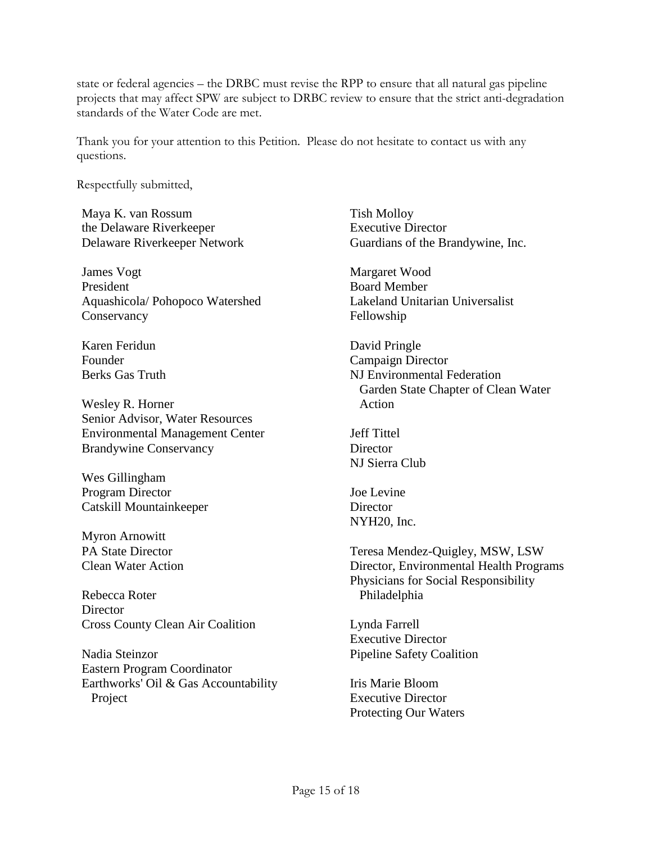state or federal agencies – the DRBC must revise the RPP to ensure that all natural gas pipeline projects that may affect SPW are subject to DRBC review to ensure that the strict anti-degradation standards of the Water Code are met.

Thank you for your attention to this Petition. Please do not hesitate to contact us with any questions.

Respectfully submitted,

Maya K. van Rossum the Delaware Riverkeeper Delaware Riverkeeper Network

James Vogt President Aquashicola/ Pohopoco Watershed **Conservancy** 

Karen Feridun Founder Berks Gas Truth

Wesley R. Horner Senior Advisor, Water Resources Environmental Management Center Brandywine Conservancy

Wes Gillingham Program Director Catskill Mountainkeeper

Myron Arnowitt PA State Director Clean Water Action

Rebecca Roter **Director** Cross County Clean Air Coalition

Nadia Steinzor Eastern Program Coordinator Earthworks' Oil & Gas Accountability Project

Tish Molloy Executive Director Guardians of the Brandywine, Inc.

Margaret Wood Board Member Lakeland Unitarian Universalist Fellowship

David Pringle Campaign Director NJ Environmental Federation Garden State Chapter of Clean Water Action

Jeff Tittel **Director** NJ Sierra Club

Joe Levine **Director** NYH20, Inc.

Teresa Mendez-Quigley, MSW, LSW Director, Environmental Health Programs Physicians for Social Responsibility Philadelphia

Lynda Farrell Executive Director Pipeline Safety Coalition

Iris Marie Bloom Executive Director Protecting Our Waters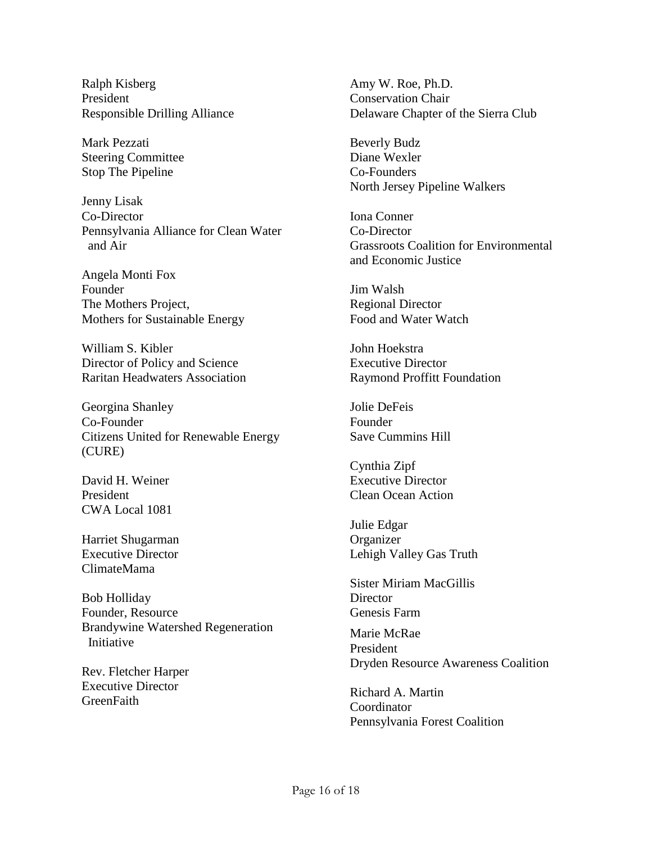Ralph Kisberg President Responsible Drilling Alliance

Mark Pezzati Steering Committee Stop The Pipeline

Jenny Lisak Co-Director Pennsylvania Alliance for Clean Water and Air

Angela Monti Fox Founder The Mothers Project, Mothers for Sustainable Energy

William S. Kibler Director of Policy and Science Raritan Headwaters Association

Georgina Shanley Co-Founder Citizens United for Renewable Energy (CURE)

David H. Weiner President CWA Local 1081

Harriet Shugarman Executive Director ClimateMama

Bob Holliday Founder, Resource Brandywine Watershed Regeneration Initiative

Rev. Fletcher Harper Executive Director **GreenFaith** 

Amy W. Roe, Ph.D. Conservation Chair Delaware Chapter of the Sierra Club

Beverly Budz Diane Wexler Co-Founders North Jersey Pipeline Walkers

Iona Conner Co-Director Grassroots Coalition for Environmental and Economic Justice

Jim Walsh Regional Director Food and Water Watch

John Hoekstra Executive Director Raymond Proffitt Foundation

Jolie DeFeis Founder Save Cummins Hill

Cynthia Zipf Executive Director Clean Ocean Action

Julie Edgar **Organizer** Lehigh Valley Gas Truth

Sister Miriam MacGillis **Director** Genesis Farm

Marie McRae President Dryden Resource Awareness Coalition

Richard A. Martin Coordinator Pennsylvania Forest Coalition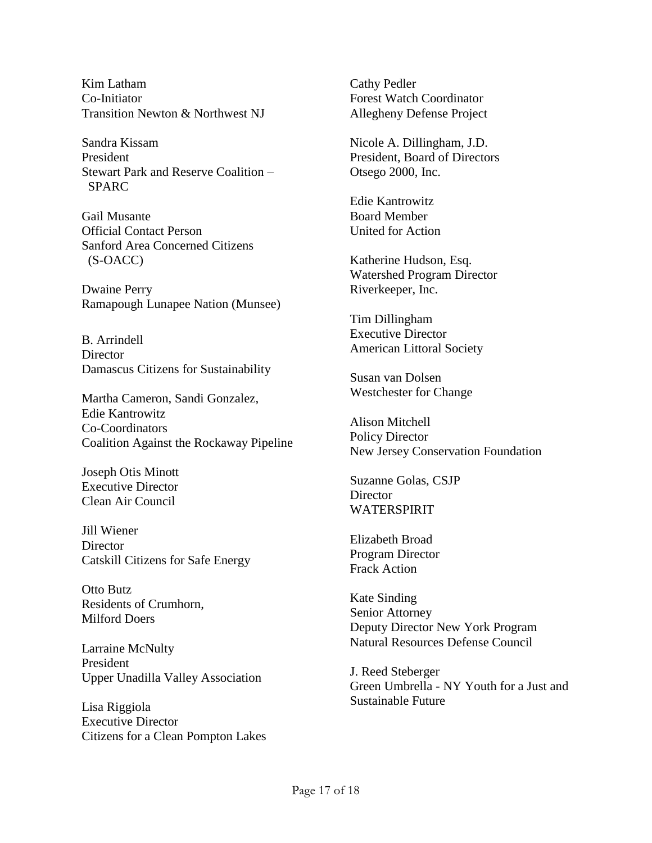Kim Latham Co-Initiator Transition Newton & Northwest NJ

Sandra Kissam President Stewart Park and Reserve Coalition – SPARC

Gail Musante Official Contact Person Sanford Area Concerned Citizens (S-OACC)

Dwaine Perry Ramapough Lunapee Nation (Munsee)

B. Arrindell **Director** Damascus Citizens for Sustainability

Martha Cameron, Sandi Gonzalez, Edie Kantrowitz Co-Coordinators Coalition Against the Rockaway Pipeline

Joseph Otis Minott Executive Director Clean Air Council

Jill Wiener **Director** Catskill Citizens for Safe Energy

Otto Butz Residents of Crumhorn, Milford Doers

Larraine McNulty President Upper Unadilla Valley Association

Lisa Riggiola Executive Director Citizens for a Clean Pompton Lakes Cathy Pedler Forest Watch Coordinator Allegheny Defense Project

Nicole A. Dillingham, J.D. President, Board of Directors Otsego 2000, Inc.

Edie Kantrowitz Board Member United for Action

Katherine Hudson, Esq. Watershed Program Director Riverkeeper, Inc.

Tim Dillingham Executive Director American Littoral Society

Susan van Dolsen Westchester for Change

Alison Mitchell Policy Director New Jersey Conservation Foundation

Suzanne Golas, CSJP **Director** WATERSPIRIT

Elizabeth Broad Program Director Frack Action

Kate Sinding Senior Attorney Deputy Director New York Program Natural Resources Defense Council

J. Reed Steberger Green Umbrella - NY Youth for a Just and Sustainable Future